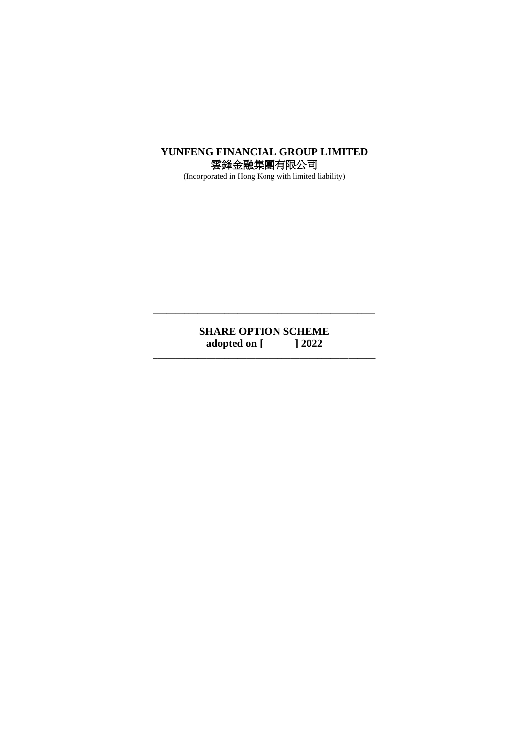# **YUNFENG FINANCIAL GROUP LIMITED** 雲鋒金融集團有限公司

(Incorporated in Hong Kong with limited liability)

# **SHARE OPTION SCHEME**<br>adopted on [12022] adopted on [ **\_\_\_\_\_\_\_\_\_\_\_\_\_\_\_\_\_\_\_\_\_\_\_\_\_\_\_\_\_\_\_\_\_\_\_\_\_\_\_\_\_\_\_\_\_\_\_\_\_\_**

**\_\_\_\_\_\_\_\_\_\_\_\_\_\_\_\_\_\_\_\_\_\_\_\_\_\_\_\_\_\_\_\_\_\_\_\_\_\_\_\_\_\_\_\_\_\_\_\_\_\_**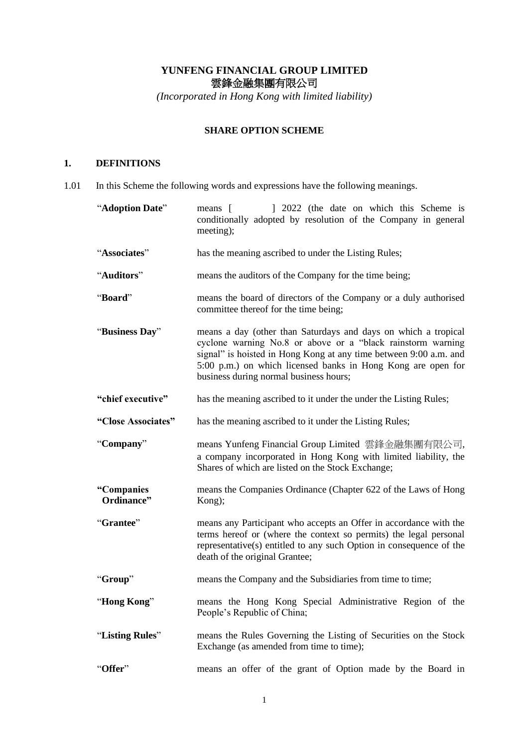# **YUNFENG FINANCIAL GROUP LIMITED** 雲鋒金融集團有限公司

*(Incorporated in Hong Kong with limited liability)*

# **SHARE OPTION SCHEME**

# **1. DEFINITIONS**

1.01 In this Scheme the following words and expressions have the following meanings.

| "Adoption Date"          | 1 2022 (the date on which this Scheme is<br>means [<br>conditionally adopted by resolution of the Company in general<br>meeting);                                                                                                                                                                            |
|--------------------------|--------------------------------------------------------------------------------------------------------------------------------------------------------------------------------------------------------------------------------------------------------------------------------------------------------------|
| "Associates"             | has the meaning ascribed to under the Listing Rules;                                                                                                                                                                                                                                                         |
| "Auditors"               | means the auditors of the Company for the time being;                                                                                                                                                                                                                                                        |
| "Board"                  | means the board of directors of the Company or a duly authorised<br>committee thereof for the time being;                                                                                                                                                                                                    |
| "Business Day"           | means a day (other than Saturdays and days on which a tropical<br>cyclone warning No.8 or above or a "black rainstorm warning<br>signal" is hoisted in Hong Kong at any time between 9:00 a.m. and<br>5:00 p.m.) on which licensed banks in Hong Kong are open for<br>business during normal business hours; |
| "chief executive"        | has the meaning ascribed to it under the under the Listing Rules;                                                                                                                                                                                                                                            |
| "Close Associates"       | has the meaning ascribed to it under the Listing Rules;                                                                                                                                                                                                                                                      |
| "Company"                | means Yunfeng Financial Group Limited 雲鋒金融集團有限公司,<br>a company incorporated in Hong Kong with limited liability, the<br>Shares of which are listed on the Stock Exchange;                                                                                                                                    |
| "Companies<br>Ordinance" | means the Companies Ordinance (Chapter 622 of the Laws of Hong<br>Kong);                                                                                                                                                                                                                                     |
| "Grantee"                | means any Participant who accepts an Offer in accordance with the<br>terms hereof or (where the context so permits) the legal personal<br>representative(s) entitled to any such Option in consequence of the<br>death of the original Grantee;                                                              |
| "Group"                  | means the Company and the Subsidiaries from time to time;                                                                                                                                                                                                                                                    |
| Hong Kong"               | means the Hong Kong Special Administrative Region of the<br>People's Republic of China;                                                                                                                                                                                                                      |
| "Listing Rules"          | means the Rules Governing the Listing of Securities on the Stock<br>Exchange (as amended from time to time);                                                                                                                                                                                                 |
| "Offer"                  | means an offer of the grant of Option made by the Board in                                                                                                                                                                                                                                                   |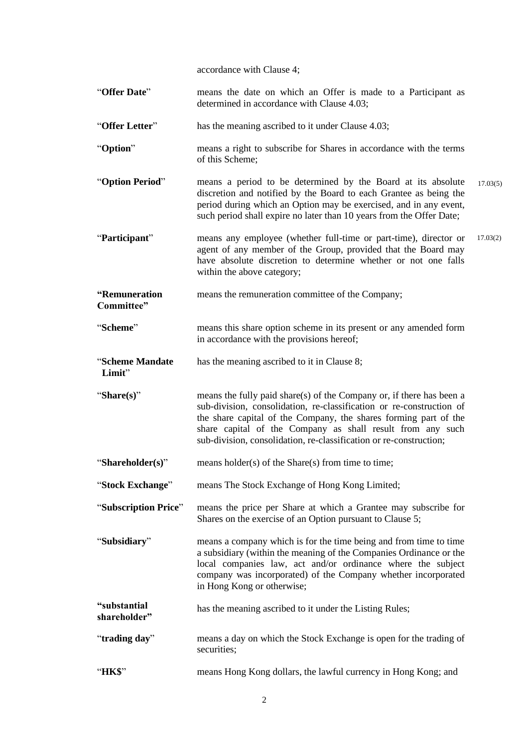accordance with Clause 4;

- "**Offer Date**" means the date on which an Offer is made to a Participant as determined in accordance with Clause 4.03;
- "**Offer Letter**" has the meaning ascribed to it under Clause 4.03;
- "**Option**" means a right to subscribe for Shares in accordance with the terms of this Scheme;
- "**Option Period**" means a period to be determined by the Board at its absolute discretion and notified by the Board to each Grantee as being the period during which an Option may be exercised, and in any event, such period shall expire no later than 10 years from the Offer Date; 17.03(5)
- "**Participant**" means any employee (whether full-time or part-time), director or agent of any member of the Group, provided that the Board may have absolute discretion to determine whether or not one falls within the above category; 17.03(2)
- **"Remuneration Committee"** means the remuneration committee of the Company;
- "**Scheme**" means this share option scheme in its present or any amended form in accordance with the provisions hereof;

"**Scheme Mandate Limit**" has the meaning ascribed to it in Clause 8;

- "**Share(s)**" means the fully paid share(s) of the Company or, if there has been a sub-division, consolidation, re-classification or re-construction of the share capital of the Company, the shares forming part of the share capital of the Company as shall result from any such sub-division, consolidation, re-classification or re-construction;
- "**Shareholder(s)**" means holder(s) of the Share(s) from time to time;
- "**Stock Exchange**" means The Stock Exchange of Hong Kong Limited;
- "**Subscription Price**" means the price per Share at which a Grantee may subscribe for Shares on the exercise of an Option pursuant to Clause 5;
- "**Subsidiary**" means a company which is for the time being and from time to time a subsidiary (within the meaning of the Companies Ordinance or the local companies law, act and/or ordinance where the subject company was incorporated) of the Company whether incorporated in Hong Kong or otherwise;
- **"substantial shareholder"** has the meaning ascribed to it under the Listing Rules;
- "**trading day**" means a day on which the Stock Exchange is open for the trading of securities;
- "**HK\$**" means Hong Kong dollars, the lawful currency in Hong Kong; and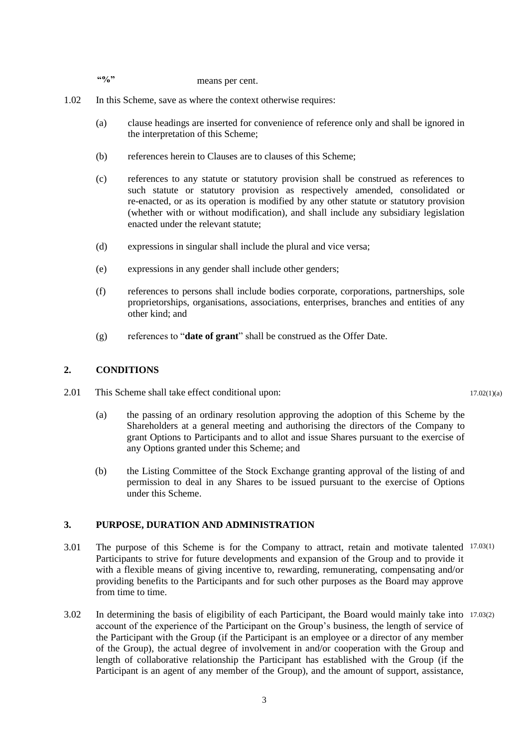**"%"** means per cent.

- 1.02 In this Scheme, save as where the context otherwise requires:
	- (a) clause headings are inserted for convenience of reference only and shall be ignored in the interpretation of this Scheme;
	- (b) references herein to Clauses are to clauses of this Scheme;
	- (c) references to any statute or statutory provision shall be construed as references to such statute or statutory provision as respectively amended, consolidated or re-enacted, or as its operation is modified by any other statute or statutory provision (whether with or without modification), and shall include any subsidiary legislation enacted under the relevant statute;
	- (d) expressions in singular shall include the plural and vice versa;
	- (e) expressions in any gender shall include other genders;
	- (f) references to persons shall include bodies corporate, corporations, partnerships, sole proprietorships, organisations, associations, enterprises, branches and entities of any other kind; and
	- (g) references to "**date of grant**" shall be construed as the Offer Date.

#### **2. CONDITIONS**

- 2.01 This Scheme shall take effect conditional upon:
	- (a) the passing of an ordinary resolution approving the adoption of this Scheme by the Shareholders at a general meeting and authorising the directors of the Company to grant Options to Participants and to allot and issue Shares pursuant to the exercise of any Options granted under this Scheme; and
	- (b) the Listing Committee of the Stock Exchange granting approval of the listing of and permission to deal in any Shares to be issued pursuant to the exercise of Options under this Scheme.

#### **3. PURPOSE, DURATION AND ADMINISTRATION**

- 3.01 The purpose of this Scheme is for the Company to attract, retain and motivate talented 17.03(1) Participants to strive for future developments and expansion of the Group and to provide it with a flexible means of giving incentive to, rewarding, remunerating, compensating and/or providing benefits to the Participants and for such other purposes as the Board may approve from time to time.
- 3.02 In determining the basis of eligibility of each Participant, the Board would mainly take into 17.03(2)account of the experience of the Participant on the Group's business, the length of service of the Participant with the Group (if the Participant is an employee or a director of any member of the Group), the actual degree of involvement in and/or cooperation with the Group and length of collaborative relationship the Participant has established with the Group (if the Participant is an agent of any member of the Group), and the amount of support, assistance,

 $17.02(1)(a)$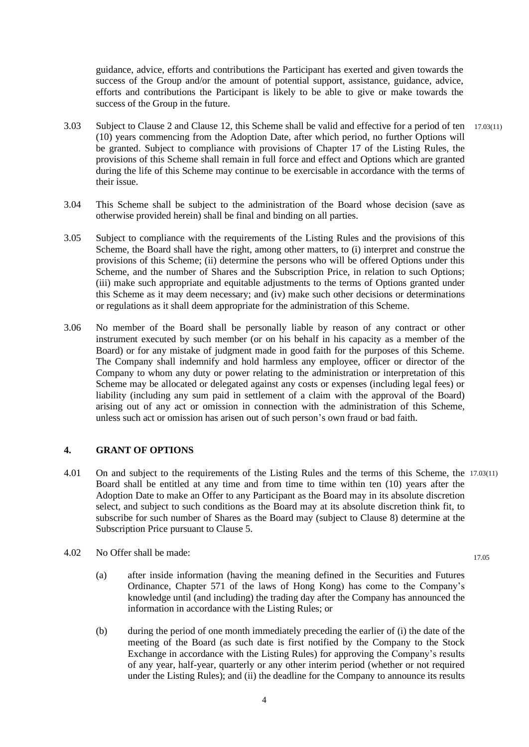guidance, advice, efforts and contributions the Participant has exerted and given towards the success of the Group and/or the amount of potential support, assistance, guidance, advice, efforts and contributions the Participant is likely to be able to give or make towards the success of the Group in the future.

- 3.03 Subject to Clause 2 and Clause 12, this Scheme shall be valid and effective for a period of ten 17.03(11) (10) years commencing from the Adoption Date, after which period, no further Options will be granted. Subject to compliance with provisions of Chapter 17 of the Listing Rules, the provisions of this Scheme shall remain in full force and effect and Options which are granted during the life of this Scheme may continue to be exercisable in accordance with the terms of their issue.
- 3.04 This Scheme shall be subject to the administration of the Board whose decision (save as otherwise provided herein) shall be final and binding on all parties.
- 3.05 Subject to compliance with the requirements of the Listing Rules and the provisions of this Scheme, the Board shall have the right, among other matters, to (i) interpret and construe the provisions of this Scheme; (ii) determine the persons who will be offered Options under this Scheme, and the number of Shares and the Subscription Price, in relation to such Options; (iii) make such appropriate and equitable adjustments to the terms of Options granted under this Scheme as it may deem necessary; and (iv) make such other decisions or determinations or regulations as it shall deem appropriate for the administration of this Scheme.
- 3.06 No member of the Board shall be personally liable by reason of any contract or other instrument executed by such member (or on his behalf in his capacity as a member of the Board) or for any mistake of judgment made in good faith for the purposes of this Scheme. The Company shall indemnify and hold harmless any employee, officer or director of the Company to whom any duty or power relating to the administration or interpretation of this Scheme may be allocated or delegated against any costs or expenses (including legal fees) or liability (including any sum paid in settlement of a claim with the approval of the Board) arising out of any act or omission in connection with the administration of this Scheme, unless such act or omission has arisen out of such person's own fraud or bad faith.

## **4. GRANT OF OPTIONS**

- 4.01 On and subject to the requirements of the Listing Rules and the terms of this Scheme, the 17.03(11) Board shall be entitled at any time and from time to time within ten (10) years after the Adoption Date to make an Offer to any Participant as the Board may in its absolute discretion select, and subject to such conditions as the Board may at its absolute discretion think fit, to subscribe for such number of Shares as the Board may (subject to Clause 8) determine at the Subscription Price pursuant to Clause 5.
- 4.02 No Offer shall be made:
	- (a) after inside information (having the meaning defined in the Securities and Futures Ordinance, Chapter 571 of the laws of Hong Kong) has come to the Company's knowledge until (and including) the trading day after the Company has announced the information in accordance with the Listing Rules; or
	- (b) during the period of one month immediately preceding the earlier of (i) the date of the meeting of the Board (as such date is first notified by the Company to the Stock Exchange in accordance with the Listing Rules) for approving the Company's results of any year, half-year, quarterly or any other interim period (whether or not required under the Listing Rules); and (ii) the deadline for the Company to announce its results

17.05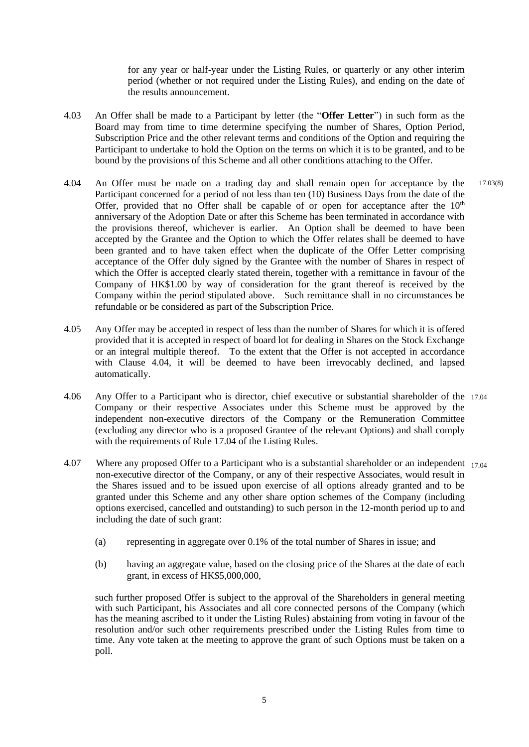for any year or half-year under the Listing Rules, or quarterly or any other interim period (whether or not required under the Listing Rules), and ending on the date of the results announcement.

- 4.03 An Offer shall be made to a Participant by letter (the "**Offer Letter**") in such form as the Board may from time to time determine specifying the number of Shares, Option Period, Subscription Price and the other relevant terms and conditions of the Option and requiring the Participant to undertake to hold the Option on the terms on which it is to be granted, and to be bound by the provisions of this Scheme and all other conditions attaching to the Offer.
- 4.04 An Offer must be made on a trading day and shall remain open for acceptance by the Participant concerned for a period of not less than ten (10) Business Days from the date of the Offer, provided that no Offer shall be capable of or open for acceptance after the  $10<sup>th</sup>$ anniversary of the Adoption Date or after this Scheme has been terminated in accordance with the provisions thereof, whichever is earlier. An Option shall be deemed to have been accepted by the Grantee and the Option to which the Offer relates shall be deemed to have been granted and to have taken effect when the duplicate of the Offer Letter comprising acceptance of the Offer duly signed by the Grantee with the number of Shares in respect of which the Offer is accepted clearly stated therein, together with a remittance in favour of the Company of HK\$1.00 by way of consideration for the grant thereof is received by the Company within the period stipulated above. Such remittance shall in no circumstances be refundable or be considered as part of the Subscription Price. 17.03(8)
- 4.05 Any Offer may be accepted in respect of less than the number of Shares for which it is offered provided that it is accepted in respect of board lot for dealing in Shares on the Stock Exchange or an integral multiple thereof. To the extent that the Offer is not accepted in accordance with Clause 4.04, it will be deemed to have been irrevocably declined, and lapsed automatically.
- 4.06 Any Offer to a Participant who is director, chief executive or substantial shareholder of the 17.04Company or their respective Associates under this Scheme must be approved by the independent non-executive directors of the Company or the Remuneration Committee (excluding any director who is a proposed Grantee of the relevant Options) and shall comply with the requirements of Rule 17.04 of the Listing Rules.
- 4.07 Where any proposed Offer to a Participant who is a substantial shareholder or an independent 17.04 non-executive director of the Company, or any of their respective Associates, would result in the Shares issued and to be issued upon exercise of all options already granted and to be granted under this Scheme and any other share option schemes of the Company (including options exercised, cancelled and outstanding) to such person in the 12-month period up to and including the date of such grant:
	- (a) representing in aggregate over 0.1% of the total number of Shares in issue; and
	- (b) having an aggregate value, based on the closing price of the Shares at the date of each grant, in excess of HK\$5,000,000,

such further proposed Offer is subject to the approval of the Shareholders in general meeting with such Participant, his Associates and all core connected persons of the Company (which has the meaning ascribed to it under the Listing Rules) abstaining from voting in favour of the resolution and/or such other requirements prescribed under the Listing Rules from time to time. Any vote taken at the meeting to approve the grant of such Options must be taken on a poll.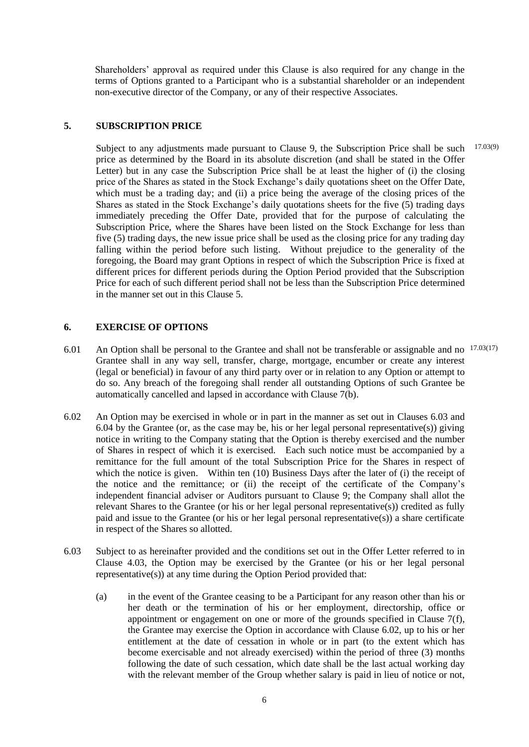Shareholders' approval as required under this Clause is also required for any change in the terms of Options granted to a Participant who is a substantial shareholder or an independent non-executive director of the Company, or any of their respective Associates.

#### **5. SUBSCRIPTION PRICE**

Subject to any adjustments made pursuant to Clause 9, the Subscription Price shall be such price as determined by the Board in its absolute discretion (and shall be stated in the Offer Letter) but in any case the Subscription Price shall be at least the higher of (i) the closing price of the Shares as stated in the Stock Exchange's daily quotations sheet on the Offer Date, which must be a trading day; and (ii) a price being the average of the closing prices of the Shares as stated in the Stock Exchange's daily quotations sheets for the five (5) trading days immediately preceding the Offer Date, provided that for the purpose of calculating the Subscription Price, where the Shares have been listed on the Stock Exchange for less than five (5) trading days, the new issue price shall be used as the closing price for any trading day falling within the period before such listing. Without prejudice to the generality of the foregoing, the Board may grant Options in respect of which the Subscription Price is fixed at different prices for different periods during the Option Period provided that the Subscription Price for each of such different period shall not be less than the Subscription Price determined in the manner set out in this Clause 5. 17.03(9)

#### **6. EXERCISE OF OPTIONS**

- 6.01 An Option shall be personal to the Grantee and shall not be transferable or assignable and no 17.03(17)Grantee shall in any way sell, transfer, charge, mortgage, encumber or create any interest (legal or beneficial) in favour of any third party over or in relation to any Option or attempt to do so. Any breach of the foregoing shall render all outstanding Options of such Grantee be automatically cancelled and lapsed in accordance with Clause 7(b).
- 6.02 An Option may be exercised in whole or in part in the manner as set out in Clauses 6.03 and 6.04 by the Grantee (or, as the case may be, his or her legal personal representative(s)) giving notice in writing to the Company stating that the Option is thereby exercised and the number of Shares in respect of which it is exercised. Each such notice must be accompanied by a remittance for the full amount of the total Subscription Price for the Shares in respect of which the notice is given. Within ten (10) Business Days after the later of (i) the receipt of the notice and the remittance; or (ii) the receipt of the certificate of the Company's independent financial adviser or Auditors pursuant to Clause 9; the Company shall allot the relevant Shares to the Grantee (or his or her legal personal representative(s)) credited as fully paid and issue to the Grantee (or his or her legal personal representative(s)) a share certificate in respect of the Shares so allotted.
- 6.03 Subject to as hereinafter provided and the conditions set out in the Offer Letter referred to in Clause 4.03, the Option may be exercised by the Grantee (or his or her legal personal representative(s)) at any time during the Option Period provided that:
	- (a) in the event of the Grantee ceasing to be a Participant for any reason other than his or her death or the termination of his or her employment, directorship, office or appointment or engagement on one or more of the grounds specified in Clause 7(f), the Grantee may exercise the Option in accordance with Clause 6.02, up to his or her entitlement at the date of cessation in whole or in part (to the extent which has become exercisable and not already exercised) within the period of three (3) months following the date of such cessation, which date shall be the last actual working day with the relevant member of the Group whether salary is paid in lieu of notice or not,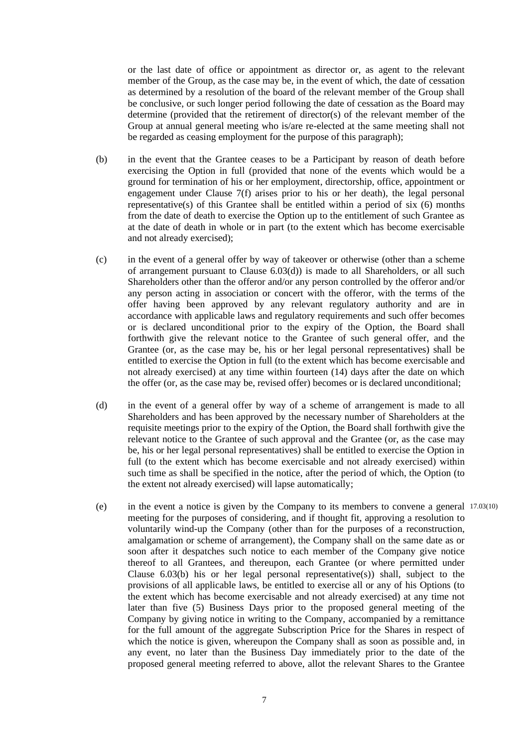or the last date of office or appointment as director or, as agent to the relevant member of the Group, as the case may be, in the event of which, the date of cessation as determined by a resolution of the board of the relevant member of the Group shall be conclusive, or such longer period following the date of cessation as the Board may determine (provided that the retirement of director(s) of the relevant member of the Group at annual general meeting who is/are re-elected at the same meeting shall not be regarded as ceasing employment for the purpose of this paragraph);

- (b) in the event that the Grantee ceases to be a Participant by reason of death before exercising the Option in full (provided that none of the events which would be a ground for termination of his or her employment, directorship, office, appointment or engagement under Clause 7(f) arises prior to his or her death), the legal personal representative(s) of this Grantee shall be entitled within a period of six  $(6)$  months from the date of death to exercise the Option up to the entitlement of such Grantee as at the date of death in whole or in part (to the extent which has become exercisable and not already exercised);
- (c) in the event of a general offer by way of takeover or otherwise (other than a scheme of arrangement pursuant to Clause 6.03(d)) is made to all Shareholders, or all such Shareholders other than the offeror and/or any person controlled by the offeror and/or any person acting in association or concert with the offeror, with the terms of the offer having been approved by any relevant regulatory authority and are in accordance with applicable laws and regulatory requirements and such offer becomes or is declared unconditional prior to the expiry of the Option, the Board shall forthwith give the relevant notice to the Grantee of such general offer, and the Grantee (or, as the case may be, his or her legal personal representatives) shall be entitled to exercise the Option in full (to the extent which has become exercisable and not already exercised) at any time within fourteen (14) days after the date on which the offer (or, as the case may be, revised offer) becomes or is declared unconditional;
- (d) in the event of a general offer by way of a scheme of arrangement is made to all Shareholders and has been approved by the necessary number of Shareholders at the requisite meetings prior to the expiry of the Option, the Board shall forthwith give the relevant notice to the Grantee of such approval and the Grantee (or, as the case may be, his or her legal personal representatives) shall be entitled to exercise the Option in full (to the extent which has become exercisable and not already exercised) within such time as shall be specified in the notice, after the period of which, the Option (to the extent not already exercised) will lapse automatically;
- (e) in the event a notice is given by the Company to its members to convene a general 17.03(10)meeting for the purposes of considering, and if thought fit, approving a resolution to voluntarily wind-up the Company (other than for the purposes of a reconstruction, amalgamation or scheme of arrangement), the Company shall on the same date as or soon after it despatches such notice to each member of the Company give notice thereof to all Grantees, and thereupon, each Grantee (or where permitted under Clause  $6.03(b)$  his or her legal personal representative(s)) shall, subject to the provisions of all applicable laws, be entitled to exercise all or any of his Options (to the extent which has become exercisable and not already exercised) at any time not later than five (5) Business Days prior to the proposed general meeting of the Company by giving notice in writing to the Company, accompanied by a remittance for the full amount of the aggregate Subscription Price for the Shares in respect of which the notice is given, whereupon the Company shall as soon as possible and, in any event, no later than the Business Day immediately prior to the date of the proposed general meeting referred to above, allot the relevant Shares to the Grantee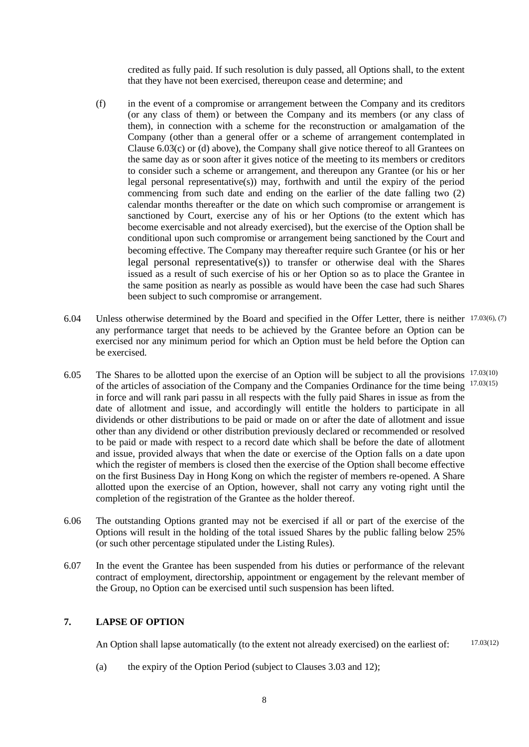credited as fully paid. If such resolution is duly passed, all Options shall, to the extent that they have not been exercised, thereupon cease and determine; and

- (f) in the event of a compromise or arrangement between the Company and its creditors (or any class of them) or between the Company and its members (or any class of them), in connection with a scheme for the reconstruction or amalgamation of the Company (other than a general offer or a scheme of arrangement contemplated in Clause 6.03(c) or (d) above), the Company shall give notice thereof to all Grantees on the same day as or soon after it gives notice of the meeting to its members or creditors to consider such a scheme or arrangement, and thereupon any Grantee (or his or her legal personal representative(s)) may, forthwith and until the expiry of the period commencing from such date and ending on the earlier of the date falling two (2) calendar months thereafter or the date on which such compromise or arrangement is sanctioned by Court, exercise any of his or her Options (to the extent which has become exercisable and not already exercised), but the exercise of the Option shall be conditional upon such compromise or arrangement being sanctioned by the Court and becoming effective. The Company may thereafter require such Grantee (or his or her legal personal representative(s)) to transfer or otherwise deal with the Shares issued as a result of such exercise of his or her Option so as to place the Grantee in the same position as nearly as possible as would have been the case had such Shares been subject to such compromise or arrangement.
- 6.04 Unless otherwise determined by the Board and specified in the Offer Letter, there is neither 17.03(6), (7) any performance target that needs to be achieved by the Grantee before an Option can be exercised nor any minimum period for which an Option must be held before the Option can be exercised.
- 6.05 The Shares to be allotted upon the exercise of an Option will be subject to all the provisions 17.03(10) of the articles of association of the Company and the Companies Ordinance for the time being <sup>17.03(15)</sup> in force and will rank pari passu in all respects with the fully paid Shares in issue as from the date of allotment and issue, and accordingly will entitle the holders to participate in all dividends or other distributions to be paid or made on or after the date of allotment and issue other than any dividend or other distribution previously declared or recommended or resolved to be paid or made with respect to a record date which shall be before the date of allotment and issue, provided always that when the date or exercise of the Option falls on a date upon which the register of members is closed then the exercise of the Option shall become effective on the first Business Day in Hong Kong on which the register of members re-opened. A Share allotted upon the exercise of an Option, however, shall not carry any voting right until the completion of the registration of the Grantee as the holder thereof.
- 6.06 The outstanding Options granted may not be exercised if all or part of the exercise of the Options will result in the holding of the total issued Shares by the public falling below 25% (or such other percentage stipulated under the Listing Rules).
- 6.07 In the event the Grantee has been suspended from his duties or performance of the relevant contract of employment, directorship, appointment or engagement by the relevant member of the Group, no Option can be exercised until such suspension has been lifted.

# **7. LAPSE OF OPTION**

An Option shall lapse automatically (to the extent not already exercised) on the earliest of: 17.03(12)

(a) the expiry of the Option Period (subject to Clauses 3.03 and 12);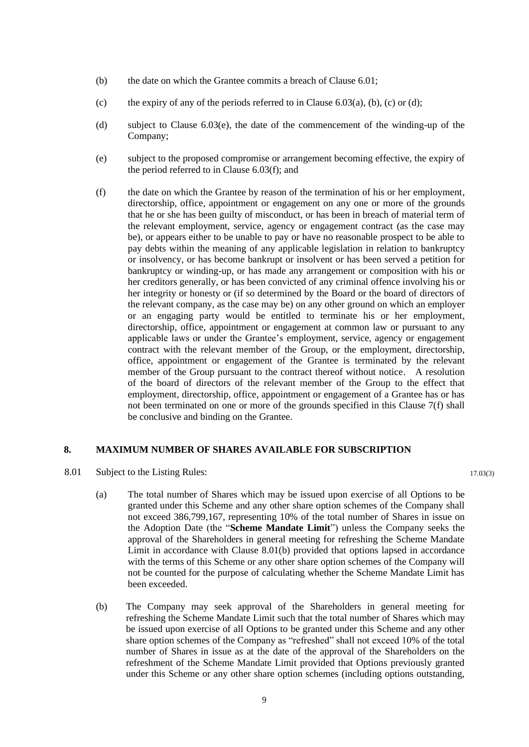- (b) the date on which the Grantee commits a breach of Clause 6.01;
- (c) the expiry of any of the periods referred to in Clause  $6.03(a)$ , (b), (c) or (d);
- (d) subject to Clause 6.03(e), the date of the commencement of the winding-up of the Company;
- (e) subject to the proposed compromise or arrangement becoming effective, the expiry of the period referred to in Clause 6.03(f); and
- (f) the date on which the Grantee by reason of the termination of his or her employment, directorship, office, appointment or engagement on any one or more of the grounds that he or she has been guilty of misconduct, or has been in breach of material term of the relevant employment, service, agency or engagement contract (as the case may be), or appears either to be unable to pay or have no reasonable prospect to be able to pay debts within the meaning of any applicable legislation in relation to bankruptcy or insolvency, or has become bankrupt or insolvent or has been served a petition for bankruptcy or winding-up, or has made any arrangement or composition with his or her creditors generally, or has been convicted of any criminal offence involving his or her integrity or honesty or (if so determined by the Board or the board of directors of the relevant company, as the case may be) on any other ground on which an employer or an engaging party would be entitled to terminate his or her employment, directorship, office, appointment or engagement at common law or pursuant to any applicable laws or under the Grantee's employment, service, agency or engagement contract with the relevant member of the Group, or the employment, directorship, office, appointment or engagement of the Grantee is terminated by the relevant member of the Group pursuant to the contract thereof without notice. A resolution of the board of directors of the relevant member of the Group to the effect that employment, directorship, office, appointment or engagement of a Grantee has or has not been terminated on one or more of the grounds specified in this Clause  $7(f)$  shall be conclusive and binding on the Grantee.

# **8. MAXIMUM NUMBER OF SHARES AVAILABLE FOR SUBSCRIPTION**

- 8.01 Subject to the Listing Rules:
	- (a) The total number of Shares which may be issued upon exercise of all Options to be granted under this Scheme and any other share option schemes of the Company shall not exceed 386,799,167, representing 10% of the total number of Shares in issue on the Adoption Date (the "**Scheme Mandate Limit**") unless the Company seeks the approval of the Shareholders in general meeting for refreshing the Scheme Mandate Limit in accordance with Clause 8.01(b) provided that options lapsed in accordance with the terms of this Scheme or any other share option schemes of the Company will not be counted for the purpose of calculating whether the Scheme Mandate Limit has been exceeded.
	- (b) The Company may seek approval of the Shareholders in general meeting for refreshing the Scheme Mandate Limit such that the total number of Shares which may be issued upon exercise of all Options to be granted under this Scheme and any other share option schemes of the Company as "refreshed" shall not exceed 10% of the total number of Shares in issue as at the date of the approval of the Shareholders on the refreshment of the Scheme Mandate Limit provided that Options previously granted under this Scheme or any other share option schemes (including options outstanding,

17.03(3)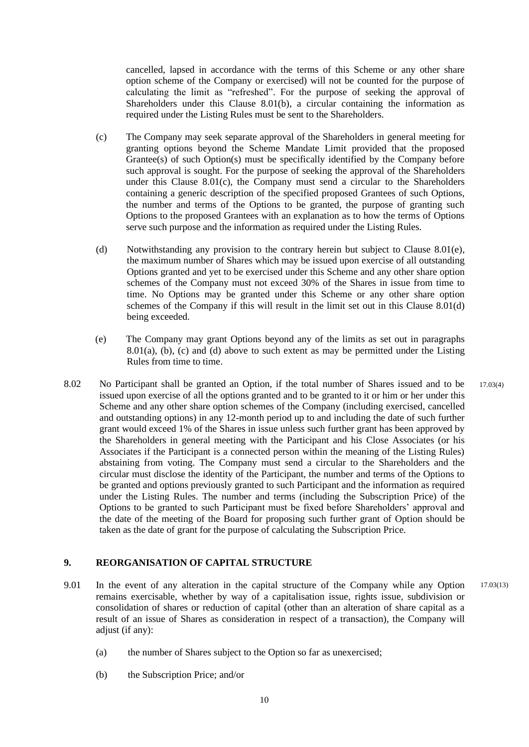cancelled, lapsed in accordance with the terms of this Scheme or any other share option scheme of the Company or exercised) will not be counted for the purpose of calculating the limit as "refreshed". For the purpose of seeking the approval of Shareholders under this Clause 8.01(b), a circular containing the information as required under the Listing Rules must be sent to the Shareholders.

- (c) The Company may seek separate approval of the Shareholders in general meeting for granting options beyond the Scheme Mandate Limit provided that the proposed Grantee(s) of such Option(s) must be specifically identified by the Company before such approval is sought. For the purpose of seeking the approval of the Shareholders under this Clause  $8.01(c)$ , the Company must send a circular to the Shareholders containing a generic description of the specified proposed Grantees of such Options, the number and terms of the Options to be granted, the purpose of granting such Options to the proposed Grantees with an explanation as to how the terms of Options serve such purpose and the information as required under the Listing Rules.
- (d) Notwithstanding any provision to the contrary herein but subject to Clause 8.01(e), the maximum number of Shares which may be issued upon exercise of all outstanding Options granted and yet to be exercised under this Scheme and any other share option schemes of the Company must not exceed 30% of the Shares in issue from time to time. No Options may be granted under this Scheme or any other share option schemes of the Company if this will result in the limit set out in this Clause 8.01(d) being exceeded.
- (e) The Company may grant Options beyond any of the limits as set out in paragraphs 8.01(a), (b), (c) and (d) above to such extent as may be permitted under the Listing Rules from time to time.
- 8.02 No Participant shall be granted an Option, if the total number of Shares issued and to be issued upon exercise of all the options granted and to be granted to it or him or her under this Scheme and any other share option schemes of the Company (including exercised, cancelled and outstanding options) in any 12-month period up to and including the date of such further grant would exceed 1% of the Shares in issue unless such further grant has been approved by the Shareholders in general meeting with the Participant and his Close Associates (or his Associates if the Participant is a connected person within the meaning of the Listing Rules) abstaining from voting. The Company must send a circular to the Shareholders and the circular must disclose the identity of the Participant, the number and terms of the Options to be granted and options previously granted to such Participant and the information as required under the Listing Rules. The number and terms (including the Subscription Price) of the Options to be granted to such Participant must be fixed before Shareholders' approval and the date of the meeting of the Board for proposing such further grant of Option should be taken as the date of grant for the purpose of calculating the Subscription Price. 17.03(4)

# **9. REORGANISATION OF CAPITAL STRUCTURE**

- 9.01 In the event of any alteration in the capital structure of the Company while any Option remains exercisable, whether by way of a capitalisation issue, rights issue, subdivision or consolidation of shares or reduction of capital (other than an alteration of share capital as a result of an issue of Shares as consideration in respect of a transaction), the Company will adjust (if any): 17.03(13)
	- (a) the number of Shares subject to the Option so far as unexercised;
	- (b) the Subscription Price; and/or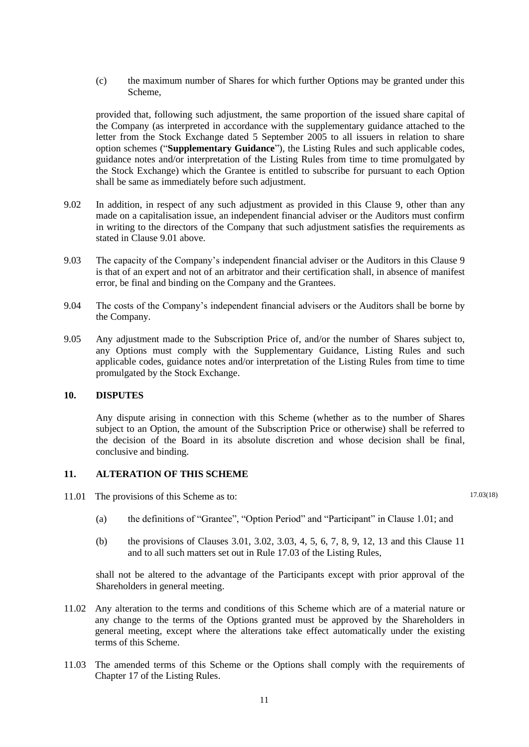(c) the maximum number of Shares for which further Options may be granted under this Scheme,

provided that, following such adjustment, the same proportion of the issued share capital of the Company (as interpreted in accordance with the supplementary guidance attached to the letter from the Stock Exchange dated 5 September 2005 to all issuers in relation to share option schemes ("**Supplementary Guidance**"), the Listing Rules and such applicable codes, guidance notes and/or interpretation of the Listing Rules from time to time promulgated by the Stock Exchange) which the Grantee is entitled to subscribe for pursuant to each Option shall be same as immediately before such adjustment.

- 9.02 In addition, in respect of any such adjustment as provided in this Clause 9, other than any made on a capitalisation issue, an independent financial adviser or the Auditors must confirm in writing to the directors of the Company that such adjustment satisfies the requirements as stated in Clause 9.01 above.
- 9.03 The capacity of the Company's independent financial adviser or the Auditors in this Clause 9 is that of an expert and not of an arbitrator and their certification shall, in absence of manifest error, be final and binding on the Company and the Grantees.
- 9.04 The costs of the Company's independent financial advisers or the Auditors shall be borne by the Company.
- 9.05 Any adjustment made to the Subscription Price of, and/or the number of Shares subject to, any Options must comply with the Supplementary Guidance, Listing Rules and such applicable codes, guidance notes and/or interpretation of the Listing Rules from time to time promulgated by the Stock Exchange.

# **10. DISPUTES**

Any dispute arising in connection with this Scheme (whether as to the number of Shares subject to an Option, the amount of the Subscription Price or otherwise) shall be referred to the decision of the Board in its absolute discretion and whose decision shall be final, conclusive and binding.

#### **11. ALTERATION OF THIS SCHEME**

11.01 The provisions of this Scheme as to:

- 17.03(18)
- (a) the definitions of "Grantee", "Option Period" and "Participant" in Clause 1.01; and
- (b) the provisions of Clauses 3.01, 3.02, 3.03, 4, 5, 6, 7, 8, 9, 12, 13 and this Clause 11 and to all such matters set out in Rule 17.03 of the Listing Rules,

shall not be altered to the advantage of the Participants except with prior approval of the Shareholders in general meeting.

- 11.02 Any alteration to the terms and conditions of this Scheme which are of a material nature or any change to the terms of the Options granted must be approved by the Shareholders in general meeting, except where the alterations take effect automatically under the existing terms of this Scheme.
- 11.03 The amended terms of this Scheme or the Options shall comply with the requirements of Chapter 17 of the Listing Rules.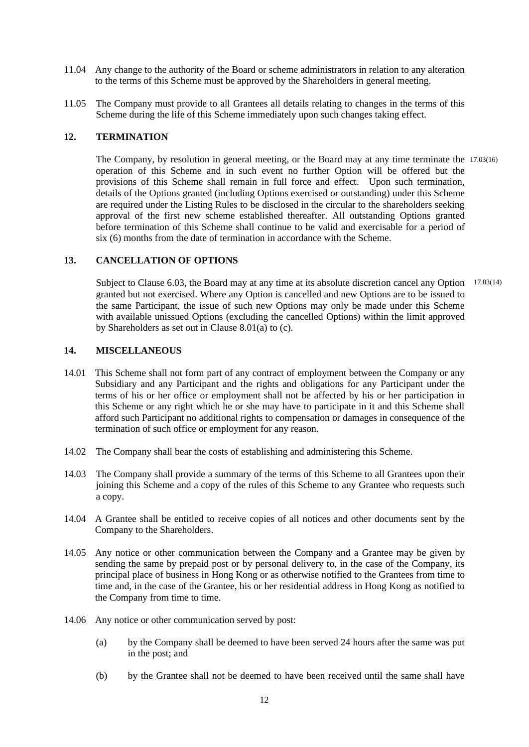- 11.04 Any change to the authority of the Board or scheme administrators in relation to any alteration to the terms of this Scheme must be approved by the Shareholders in general meeting.
- 11.05 The Company must provide to all Grantees all details relating to changes in the terms of this Scheme during the life of this Scheme immediately upon such changes taking effect.

## **12. TERMINATION**

The Company, by resolution in general meeting, or the Board may at any time terminate the 17.03(16) operation of this Scheme and in such event no further Option will be offered but the provisions of this Scheme shall remain in full force and effect. Upon such termination, details of the Options granted (including Options exercised or outstanding) under this Scheme are required under the Listing Rules to be disclosed in the circular to the shareholders seeking approval of the first new scheme established thereafter. All outstanding Options granted before termination of this Scheme shall continue to be valid and exercisable for a period of six (6) months from the date of termination in accordance with the Scheme.

## **13. CANCELLATION OF OPTIONS**

Subject to Clause 6.03, the Board may at any time at its absolute discretion cancel any Option 17.03(14) granted but not exercised. Where any Option is cancelled and new Options are to be issued to the same Participant, the issue of such new Options may only be made under this Scheme with available unissued Options (excluding the cancelled Options) within the limit approved by Shareholders as set out in Clause 8.01(a) to (c).

## **14. MISCELLANEOUS**

- 14.01 This Scheme shall not form part of any contract of employment between the Company or any Subsidiary and any Participant and the rights and obligations for any Participant under the terms of his or her office or employment shall not be affected by his or her participation in this Scheme or any right which he or she may have to participate in it and this Scheme shall afford such Participant no additional rights to compensation or damages in consequence of the termination of such office or employment for any reason.
- 14.02 The Company shall bear the costs of establishing and administering this Scheme.
- 14.03 The Company shall provide a summary of the terms of this Scheme to all Grantees upon their joining this Scheme and a copy of the rules of this Scheme to any Grantee who requests such a copy.
- 14.04 A Grantee shall be entitled to receive copies of all notices and other documents sent by the Company to the Shareholders.
- 14.05 Any notice or other communication between the Company and a Grantee may be given by sending the same by prepaid post or by personal delivery to, in the case of the Company, its principal place of business in Hong Kong or as otherwise notified to the Grantees from time to time and, in the case of the Grantee, his or her residential address in Hong Kong as notified to the Company from time to time.
- 14.06 Any notice or other communication served by post:
	- (a) by the Company shall be deemed to have been served 24 hours after the same was put in the post; and
	- (b) by the Grantee shall not be deemed to have been received until the same shall have